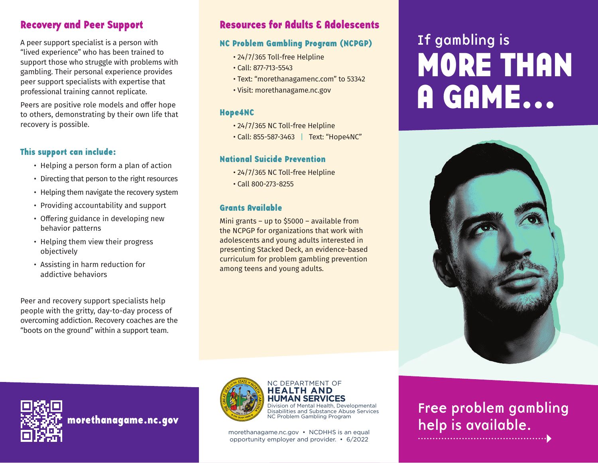## **Recovery and Peer Support**

A peer support specialist is a person with "lived experience" who has been trained to support those who struggle with problems with gambling. Their personal experience provides peer support specialists with expertise that professional training cannot replicate.

Peers are positive role models and offer hope to others, demonstrating by their own life that recovery is possible.

### **This support can include:**

- Helping a person form a plan of action
- Directing that person to the right resources
- Helping them navigate the recovery system
- Providing accountability and support
- Offering guidance in developing new behavior patterns
- Helping them view their progress objectively
- Assisting in harm reduction for addictive behaviors

Peer and recovery support specialists help people with the gritty, day-to-day process of overcoming addiction. Recovery coaches are the "boots on the ground" within a support team.

# **Resources for Adults & Adolescents**

### **NC Problem Gambling Program (NCPGP)**

- 24/7/365 Toll-free Helpline
- Call: 877-713-5543
- Text: "morethanagamenc.com" to 53342
- Visi[t: morethanagame.nc.gov](https://morethanagame.nc.gov/)

### **Hope4NC**

- 24/7/365 NC Toll-free Helpline
- Call: 855-587-3463 | Text: "Hope4NC"

### **National Suicide Prevention**

- 24/7/365 NC Toll-free Helpline
- Call 800-273-8255

### **Grants Available**

Mini grants – up to \$5000 – available from the NCPGP for organizations that work with adolescents and young adults interested in presenting Stacked Deck, an evidence-based curriculum for problem gambling prevention among teens and young adults.

# If gambling is **MORE THAN A GAME...**





**[morethanagame.nc.gov](https://morethanagame.nc.gov/)**



#### NC DEPARTMENT OF **HEALTH AND HUMAN SERVICES**

Division of Mental Health, Developmental Disabilities and Substance Abuse Services NC Problem Gambling Program

[morethanagame.nc.gov](https://morethanagame.nc.gov/) • NCDHHS is an equal opportunity employer and provider. • 6/2022

# Free problem gambling help is available.